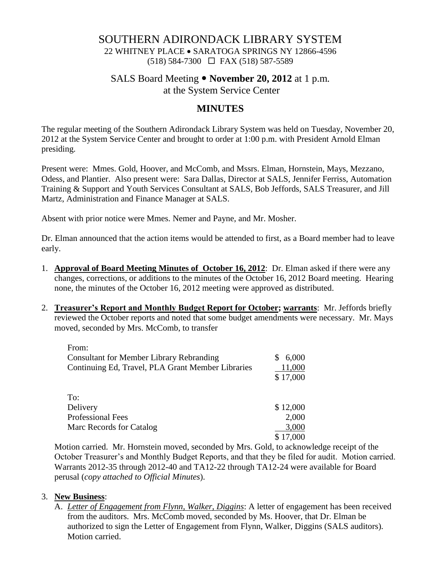### SOUTHERN ADIRONDACK LIBRARY SYSTEM

22 WHITNEY PLACE SARATOGA SPRINGS NY 12866-4596  $(518)$  584-7300  $\Box$  FAX (518) 587-5589

# SALS Board Meeting **November 20, 2012** at 1 p.m. at the System Service Center

# **MINUTES**

The regular meeting of the Southern Adirondack Library System was held on Tuesday, November 20, 2012 at the System Service Center and brought to order at 1:00 p.m. with President Arnold Elman presiding.

Present were: Mmes. Gold, Hoover, and McComb, and Mssrs. Elman, Hornstein, Mays, Mezzano, Odess, and Plantier. Also present were: Sara Dallas, Director at SALS, Jennifer Ferriss, Automation Training & Support and Youth Services Consultant at SALS, Bob Jeffords, SALS Treasurer, and Jill Martz, Administration and Finance Manager at SALS.

Absent with prior notice were Mmes. Nemer and Payne, and Mr. Mosher.

Dr. Elman announced that the action items would be attended to first, as a Board member had to leave early.

- 1. **Approval of Board Meeting Minutes of October 16, 2012**: Dr. Elman asked if there were any changes, corrections, or additions to the minutes of the October 16, 2012 Board meeting. Hearing none, the minutes of the October 16, 2012 meeting were approved as distributed.
- 2. **Treasurer's Report and Monthly Budget Report for October; warrants**: Mr. Jeffords briefly reviewed the October reports and noted that some budget amendments were necessary. Mr. Mays moved, seconded by Mrs. McComb, to transfer

| From:                                             |          |
|---------------------------------------------------|----------|
| <b>Consultant for Member Library Rebranding</b>   | 6,000    |
| Continuing Ed, Travel, PLA Grant Member Libraries | 11,000   |
|                                                   | \$17,000 |
|                                                   |          |
| To:                                               |          |
| Delivery                                          | \$12,000 |
| <b>Professional Fees</b>                          | 2,000    |
| Marc Records for Catalog                          | 3,000    |
|                                                   | 17,000   |

 Motion carried. Mr. Hornstein moved, seconded by Mrs. Gold, to acknowledge receipt of the October Treasurer's and Monthly Budget Reports, and that they be filed for audit. Motion carried. Warrants 2012-35 through 2012-40 and TA12-22 through TA12-24 were available for Board perusal (*copy attached to Official Minutes*).

#### 3. **New Business**:

A. *Letter of Engagement from Flynn, Walker, Diggins*: A letter of engagement has been received from the auditors. Mrs. McComb moved, seconded by Ms. Hoover, that Dr. Elman be authorized to sign the Letter of Engagement from Flynn, Walker, Diggins (SALS auditors). Motion carried.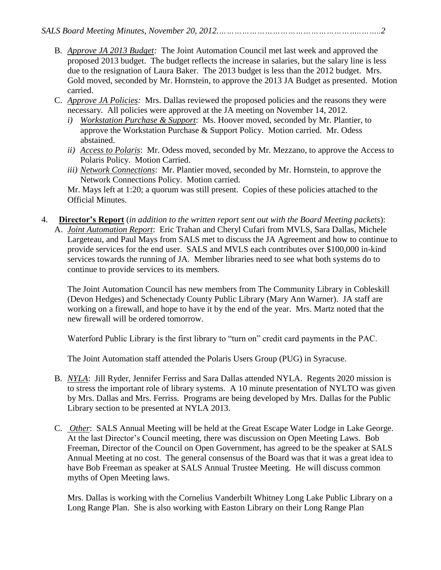- B. *Approve JA 2013 Budget:* The Joint Automation Council met last week and approved the proposed 2013 budget. The budget reflects the increase in salaries, but the salary line is less due to the resignation of Laura Baker. The 2013 budget is less than the 2012 budget. Mrs. Gold moved, seconded by Mr. Hornstein, to approve the 2013 JA Budget as presented. Motion carried.
- C. *Approve JA Policies:* Mrs. Dallas reviewed the proposed policies and the reasons they were necessary. All policies were approved at the JA meeting on November 14, 2012.
	- *i) Workstation Purchase & Support*: Ms. Hoover moved, seconded by Mr. Plantier, to approve the Workstation Purchase & Support Policy. Motion carried. Mr. Odess abstained.
	- *ii) Access to Polaris*: Mr. Odess moved, seconded by Mr. Mezzano, to approve the Access to Polaris Policy. Motion Carried.
	- *iii) Network Connections*: Mr. Plantier moved, seconded by Mr. Hornstein, to approve the Network Connections Policy. Motion carried.

Mr. Mays left at 1:20; a quorum was still present. Copies of these policies attached to the Official Minutes.

- 4. **Director's Report** (*in addition to the written report sent out with the Board Meeting packets*):
	- A. *Joint Automation Report*: Eric Trahan and Cheryl Cufari from MVLS, Sara Dallas, Michele Largeteau, and Paul Mays from SALS met to discuss the JA Agreement and how to continue to provide services for the end user. SALS and MVLS each contributes over \$100,000 in-kind services towards the running of JA. Member libraries need to see what both systems do to continue to provide services to its members.

The Joint Automation Council has new members from The Community Library in Cobleskill (Devon Hedges) and Schenectady County Public Library (Mary Ann Warner). JA staff are working on a firewall, and hope to have it by the end of the year. Mrs. Martz noted that the new firewall will be ordered tomorrow.

Waterford Public Library is the first library to "turn on" credit card payments in the PAC.

The Joint Automation staff attended the Polaris Users Group (PUG) in Syracuse.

- B. *NYLA*: Jill Ryder, Jennifer Ferriss and Sara Dallas attended NYLA. Regents 2020 mission is to stress the important role of library systems. A 10 minute presentation of NYLTO was given by Mrs. Dallas and Mrs. Ferriss. Programs are being developed by Mrs. Dallas for the Public Library section to be presented at NYLA 2013.
- C. *Other*: SALS Annual Meeting will be held at the Great Escape Water Lodge in Lake George. At the last Director's Council meeting, there was discussion on Open Meeting Laws. Bob Freeman, Director of the Council on Open Government, has agreed to be the speaker at SALS Annual Meeting at no cost. The general consensus of the Board was that it was a great idea to have Bob Freeman as speaker at SALS Annual Trustee Meeting. He will discuss common myths of Open Meeting laws.

Mrs. Dallas is working with the Cornelius Vanderbilt Whitney Long Lake Public Library on a Long Range Plan. She is also working with Easton Library on their Long Range Plan